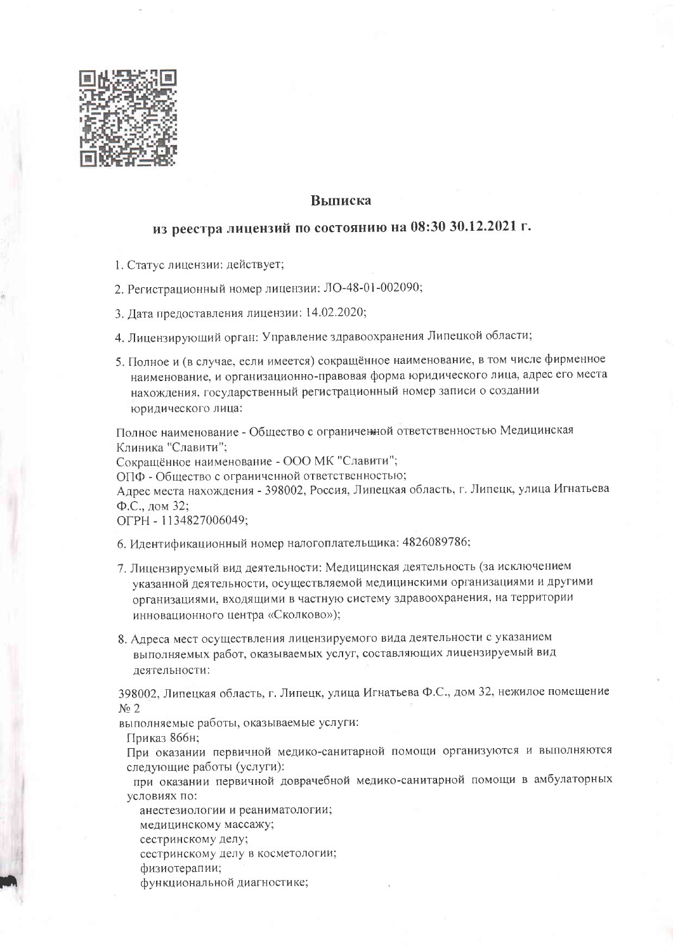

## **Выписка**

## из реестра лицензий по состоянию на 08:30 30.12.2021 г.

- 1. Статус лицензии: действует;
- 2. Регистрационный номер лицензии: ЛО-48-01-002090;
- 3. Дата предоставления лицензии: 14.02.2020;
- 4. Лицензирующий орган: Управление здравоохранения Липецкой области;
- 5. Полное и (в случае, если имеется) сокращённое наименование, в том числе фирменное наименование, и организационно-правовая форма юридического лица, адрес его места нахождения, государственный регистрационный номер записи о создании юридического лица:

Полное наименование - Общество с ограниченной ответственностью Медицинская Клиника "Славити";

Сокращённое наименование - ООО МК "Славити";

ОПФ - Общество с ограниченной ответственностью;

Адрес места нахождения - 398002, Россия, Липецкая область, г. Липецк, улица Игнатьева Ф.С., дом 32;

ОГРН - 1134827006049;

- 6. Идентификационный номер налогоплательщика: 4826089786;
- 7. Лицензируемый вид деятельности: Медицинская деятельность (за исключением указанной деятельности, осуществляемой медицинскими организациями и другими организациями, входящими в частную систему здравоохранения, на территории инновационного центра «Сколково»);
- 8. Адреса мест осуществления лицензируемого вида деятельности с указанием выполняемых работ, оказываемых услуг, составляющих лицензируемый вид деятельности:

398002, Липецкая область, г. Липецк, улица Игнатьева Ф.С., дом 32, нежилое помещение  $N_2$  2

выполняемые работы, оказываемые услуги:

Приказ 866н;

При оказании первичной медико-санитарной помощи организуются и выполняются следующие работы (услуги):

при оказании первичной доврачебной медико-санитарной помощи в амбулаторных условиях по:

анестезиологии и реаниматологии;

медицинскому массажу;

сестринскому делу;

сестринскому делу в косметологии;

физиотерапии;

функциональной диагностике;